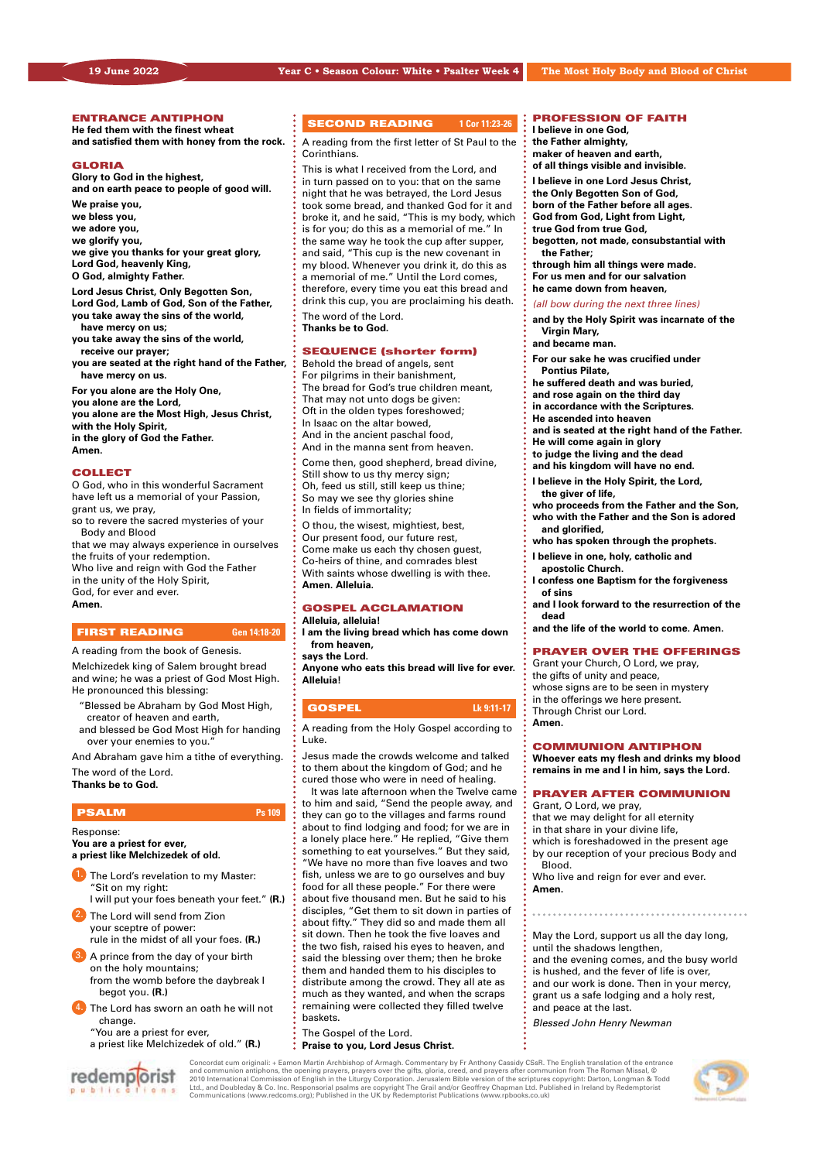#### ENTRANCE ANTIPHON

**He fed them with the finest wheat and satisfied them with honey from the rock.**

#### **GLORIA**

**Glory to God in the highest, and on earth peace to people of good will.**

**We praise you, we bless you, we adore you, we glorify you, we give you thanks for your great glory, Lord God, heavenly King,**

**O God, almighty Father.**

**Lord Jesus Christ, Only Begotten Son, Lord God, Lamb of God, Son of the Father, you take away the sins of the world,** 

**have mercy on us;**

- **you take away the sins of the world, receive our prayer;**
- **you are seated at the right hand of the Father, have mercy on us.**

**For you alone are the Holy One, you alone are the Lord, you alone are the Most High, Jesus Christ, with the Holy Spirit,**

**in the glory of God the Father. Amen.**

#### **COLLECT**

O God, who in this wonderful Sacrament have left us a memorial of your Passion, grant us, we pray,

so to revere the sacred mysteries of your Body and Blood

that we may always experience in ourselves the fruits of your redemption. Who live and reign with God the Father in the unity of the Holy Spirit, God, for ever and ever. **Amen.**

# FIRST READING **Gen 14:18-20**

A reading from the book of Genesis.

Melchizedek king of Salem brought bread and wine; he was a priest of God Most High. He pronounced this blessing:

- "Blessed be Abraham by God Most High, creator of heaven and earth,
- and blessed be God Most High for handing over your enemies to you.

And Abraham gave him a tithe of everything. The word of the Lord.

**Thanks be to God.** 

#### **PSALM Ps 109**

Response:

**You are a priest for ever, a priest like Melchizedek of old.**

- The Lord's revelation to my Master: "Sit on my right:
- I will put your foes beneath your feet." **(R.)** The Lord will send from Zion
- your sceptre of power: rule in the midst of all your foes. **(R.)**
- A prince from the day of your birth on the holy mountains; from the womb before the daybreak I begot you. **(R.)**
- **•** The Lord has sworn an oath he will not change.
	- "You are a priest for ever,
	- a priest like Melchizedek of old." **(R.)**



#### **SECOND READING** 1 Cor 11:23-26

A reading from the first letter of St Paul to the Corinthians.

This is what I received from the Lord, and in turn passed on to you: that on the same night that he was betrayed, the Lord Jesus took some bread, and thanked God for it and broke it, and he said, "This is my body, which is for you; do this as a memorial of me." In the same way he took the cup after supper, and said, "This cup is the new covenant in my blood. Whenever you drink it, do this as a memorial of me." Until the Lord comes, therefore, every time you eat this bread and drink this cup, you are proclaiming his death. The word of the Lord.

**Thanks be to God.**

#### SEQUENCE (shorter form)

Behold the bread of angels, sent For pilgrims in their banishment, The bread for God's true children meant, That may not unto dogs be given: Oft in the olden types foreshowed; In Isaac on the altar bowed, And in the ancient paschal food, And in the manna sent from heaven.

Come then, good shepherd, bread divine, Still show to us thy mercy sign; Oh, feed us still, still keep us thine; So may we see thy glories shine In fields of immortality;

O thou, the wisest, mightiest, best, Our present food, our future rest, Come make us each thy chosen guest, Co-heirs of thine, and comrades blest With saints whose dwelling is with thee. **Amen. Alleluia.**

#### GOSPEL ACCLAMATION **Alleluia, alleluia!**

**I am the living bread which has come down from heaven, says the Lord.**

**Anyone who eats this bread will live for ever. Alleluia!** 

### **GOSPEL Lk 9:11-17**

A reading from the Holy Gospel according to Luke.

Jesus made the crowds welcome and talked to them about the kingdom of God; and he cured those who were in need of healing.

It was late afternoon when the Twelve came to him and said, "Send the people away, and they can go to the villages and farms round about to find lodging and food; for we are in a lonely place here." He replied, "Give them something to eat yourselves." But they said, "We have no more than five loaves and two fish, unless we are to go ourselves and buy food for all these people." For there were about five thousand men. But he said to his disciples, "Get them to sit down in parties of about fifty." They did so and made them all sit down. Then he took the five loaves and the two fish, raised his eyes to heaven, and said the blessing over them; then he broke them and handed them to his disciples to distribute among the crowd. They all ate as much as they wanted, and when the scraps remaining were collected they filled twelve baskets.

The Gospel of the Lord. **Praise to you, Lord Jesus Christ.**

# PROFESSION OF FAITH **I believe in one God,**

**the Father almighty, maker of heaven and earth,**

**of all things visible and invisible. I believe in one Lord Jesus Christ,**

**the Only Begotten Son of God,**

**born of the Father before all ages.**

- **God from God, Light from Light,**
- **true God from true God,**

**begotten, not made, consubstantial with the Father;**

- **through him all things were made.**
- **For us men and for our salvation**
- **he came down from heaven,**

#### *(all bow during the next three lines)*

- **and by the Holy Spirit was incarnate of the Virgin Mary,**
- **and became man.**
- **For our sake he was crucified under Pontius Pilate,**
- **he suffered death and was buried,**
- **and rose again on the third day**
- **in accordance with the Scriptures.**
- **He ascended into heaven**
- **and is seated at the right hand of the Father.**
- **He will come again in glory**
- **to judge the living and the dead**
- **and his kingdom will have no end.**
- **I believe in the Holy Spirit, the Lord, the giver of life,**
- **who proceeds from the Father and the Son, who with the Father and the Son is adored and glorified,**
- **who has spoken through the prophets.**
- **I believe in one, holy, catholic and**
- **apostolic Church.**
- **I confess one Baptism for the forgiveness of sins**
- **and I look forward to the resurrection of the dead**
- **and the life of the world to come. Amen.**

#### PRAYER OVER THE OFFERINGS

Grant your Church, O Lord, we pray, the gifts of unity and peace, whose signs are to be seen in mystery in the offerings we here present. Through Christ our Lord. **Amen.**

#### COMMUNION ANTIPHON

**Whoever eats my flesh and drinks my blood remains in me and I in him, says the Lord.**

## PRAYER AFTER COMMUNION

Grant, O Lord, we pray, that we may delight for all eternity in that share in your divine life, which is foreshadowed in the present age

by our reception of your precious Body and Blood.

Who live and reign for ever and ever. **Amen.**

May the Lord, support us all the day long, until the shadows lengthen, and the evening comes, and the busy world is hushed, and the fever of life is over, and our work is done. Then in your mercy, grant us a safe lodging and a holy rest, and peace at the last.

*Blessed John Henry Newman*

Concordat cum originali: + Eamon Martin Archbishop of Armagh. Commentary by Fr Anthony Cassidy CSsR. The English translation of the entrance and communion antiphons, the opening prayers, prayers over the gifts, gloria, creed, and prayers after communion from The Roman Missal, ©<br>2010 International Commission of English in the Liturgy Corporation. Jerusalem Bible